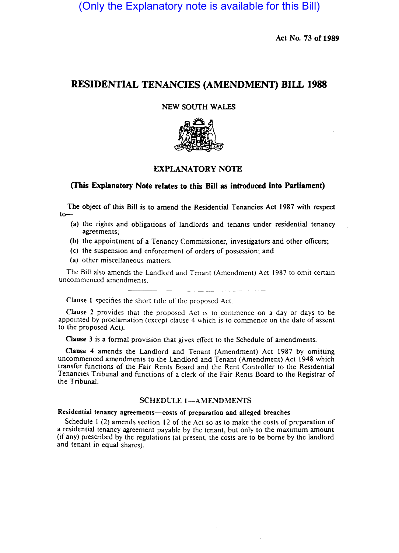(Only the Explanatory note is available for this Bill)

Act No. 73 of 1989

# RESIDENTIAL TENANCIES (AMENDMENT) BIlL 1988

NEW SOUTH WALES



## EXPLANATORY NOTE

### (This Explanatory Note relates to this Bill as introduced into Parliament)

The object of this Bill is to amend the Residential Tenancies Act 1987 with respect to-

- (a) the rights and obligations of landlords and tenants under residential tenancy agreements;
- (b) the appointment of a Tenancy Commissioner, investigators and other officers;
- (c) the suspension and enforcement of orders of possession; and
- (a) other miscellaneous matters.

The Bill also amends the Landlord and Tenant (Amendment) Act 1987 to omit certain uncommenccd amendments.

Clause I specifies the short title of the proposed Act.

Clause 2 provides that the proposed Act is to commence on a day or days to be appointed by proclamation (except clause 4 which is to commence on the date of assent to the proposed Act).

Clause 3 is a formal provision that gives effect to the Schedule of amendments.

Qause 4 amends the Landlord and Tenant (Amendment) Act 1987 by omitting uncommenced amendments to the Landlord and Tenant (Amendment) Act 1948 which transfer functions of the Fair Rents Board and the Rent Controller to the Residential Tenancies Tribunal and functions of a clerk of the Fair Rents Board to the Registrar of the Tribunal.

### SCHEDULE 1-AMENDMENTS

## Residential tenancy agreements-costs of preparation and alleged breaches

Schedule I (2) amends section 12 of the Act so as to make the costs of preparation of a residential tenancy agreement payable by the tenant, but only to the maximum amount (if any) prescribed by the regulations (at present. the costs are to be borne by the landlord and tenant in equal shares).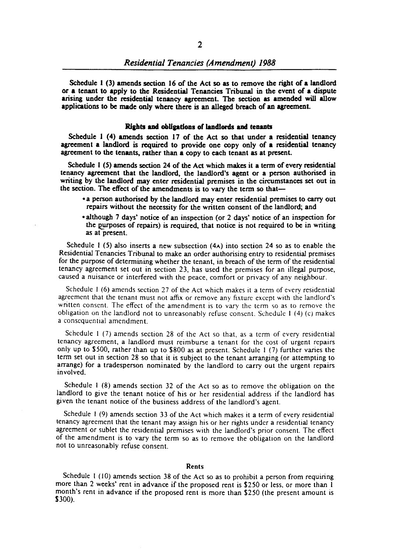Schedule I (3) amends section 16 of the Act so as to remove the right of a landlord or a tenant to apply to the Residential Tenancies Tribunal in the event of a dispute arising under the residential tenancy agreement. The section as amended will allow applications to be made only where there is an alleged breach of an agreement.

#### Rights and obligations of landlords and tenants

Schedule 1 (4) amends section 17 of the Act so that under a residential tenancy agreement a landlord is required to provide one copy only of a residential tenancy agreement to the tenants, rather than a copy to each tenant as at present.

Schedule I (5) amends section 24 of the Act which makes it a term of every residential tenancy agreement that the landlord, the landlord's agent or a person authorised in writing by the landlord may enter residential premises in the circumstances set out in the section. The effect of the amendments is to vary the term so that-

- a person authorised by the landlord may enter residential premises to carry out repairs without the necessity for the written consent of the landlord; and
- although 1 days' notice of an inspection (or 2 days' notice of an inspection for the purposes of repairs) is required, that notice is not required to be in writing as at present.

Schedule I (5) also inserts a new subsection (4A) into section 24 so as to enable the Residential Tenancies Tribunal to make an order authorising entry to residential premises for the purpose of determining whether the tenant, in breach of the term of the residential tenancy agreement set out in section 23, has used the premises for an illegal purpose, caused a nuisance or interfered with the peace, comfort or privacy of any neighbour.

Schedule I (6) amends section 27 of the Act which makes it a term of every residential agreement that the tenant must not affix or remove any fixture except with the landlord's written consent. The effect of the amendment is to vary the term so as to remove the obligation on the landlord not to unreasonably refuse consent. Schedule 1 (4) (c) makes a consequential amendment.

Schedule I (7) amends section 28 of the Act so that, as a term of every residential tenancy agreement, a landlord must reimburse a tenant for the cost of urgent repairs only up to \$500, rather than up to \$800 as at present. Schedule I (7) further varies the term set out in section 28 so that it is subject to the tenant arranging (or attempting to arrange) for a tradesperson nominated by the landlord to carry out the urgent repairs involved.

Schedule I (8) amends section 32 of the Act so as to remove the obligation on the landlord to give the tenant notice of his or her residential address if the landlord has given the tenant notice of the business address of the landlord's agent.

Schedule I (9) amends section 33 of the Act which makes it a term of every residential tenancy agreement that the tenant may assign his or her rights under a residential tenancy agreement or sublet the residential premises with the landlord's prior consent. The effect of the amendment is to vary the term so as to remove the obligation on the landlord not to unreasonably refuse consent.

#### Rents

Schedule 1 (10) amends section 38 of the Act so as to prohibit a person from requiring more than 2 weeks' rent in advance if the proposed rent is \$250 or less, or more than I month's rent in advance if the proposed rent is more than \$250 (the present amount is \$300).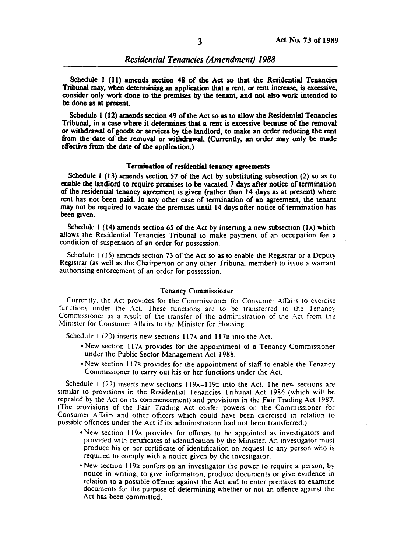Schedule I (11) amends section 48 of the Act so that the Residential Tenancies Tribunal may, when determining an application that a rent, or rent increase, is excessive, consider only work done to the premises by the tenant, and not also work intended to be done as at present.

Schedule I (12) amends section 49 of the Act so as to allow the Residential Tenancies Tribunal, in a case where it determines that a rent is excessive because of the removal or withdrawal of goods or services by the landlord, to make an order reducing the rent from the date of the removal or withdrawal. (Currently, an order may only be made effective from the date of the application.)

#### Termination of residential tenancy agreements

Schedule 1 (13) amends section 57 of the Act by substituting subsection (2) so as to enable the landlord to require premises to be vacated 7 days after notice of termination of the residential tenancy agreement is given (rather than 14 days as at present) where rent has not been paid. In any other case of termination of an agreement, the tenant may not be required to vacate the premises until 14 days after notice of termination has been given.

Schedule 1 (14) amends section 65 of the Act by inserting a new subsection  $(1)$  which allows the Residential Tenancies Tribunal to make payment of an occupation fee a condition of suspension of an order for possession.

Schedule I (15) amends section 73 of the Act so as to enable the Registrar or a Deputy Registrar (as well as the Chairperson or any other Tribunal member) to issue a warrant authorising enforcement of an order for possession.

#### Tenancy Commissioner

Currently, the Act provides for the Commissioner for Consumer Affairs to exercise functions under the Act. These functions are to be transferred to the Tenancy Commissioner as a result of the transfer of the administration of the Act from the Minister for Consumer Affairs to the Minister for Housing.

Schedule 1 (20) inserts new sections  $117A$  and  $117B$  into the Act.

- New section 117A provides for the appointment of a Tenancy Commissioner under the Public Sector Management Act 1988.
- New section 117B provides for the appointment of staff to enable the Tenancy Commissioner to carry out his or her functions under the Act.

Schedule 1 (22) inserts new sections  $119A-119E$  into the Act. The new sections are similar to provisions in the Residential Tenancies Tribunal Act 1986 (which will be repealed by the Act on its commencement) and provisions in the Fair Trading Act 1987. (The provisions of the Fair Trading Act confer powers on the Commissioner for Consumer Affairs and other officers which could have been exercised in relation to possible offences under the Act if its administration had not been transferred.)

- New section 119A provides for officers to be appointed as investigators and provided with certificates of identification by the Minister. An investigator must produce his or her certificate of identification on request to any person who is required to comply with a notice given by the investigator.
- New section 119B confers on an investigator the power to require a person, by notice in writing, to give information, produce documents or give evidence in relation to a possible offence against the Act and to enter premises to examine documents for the purpose of determining whether or not an offence against the Act has been committed.